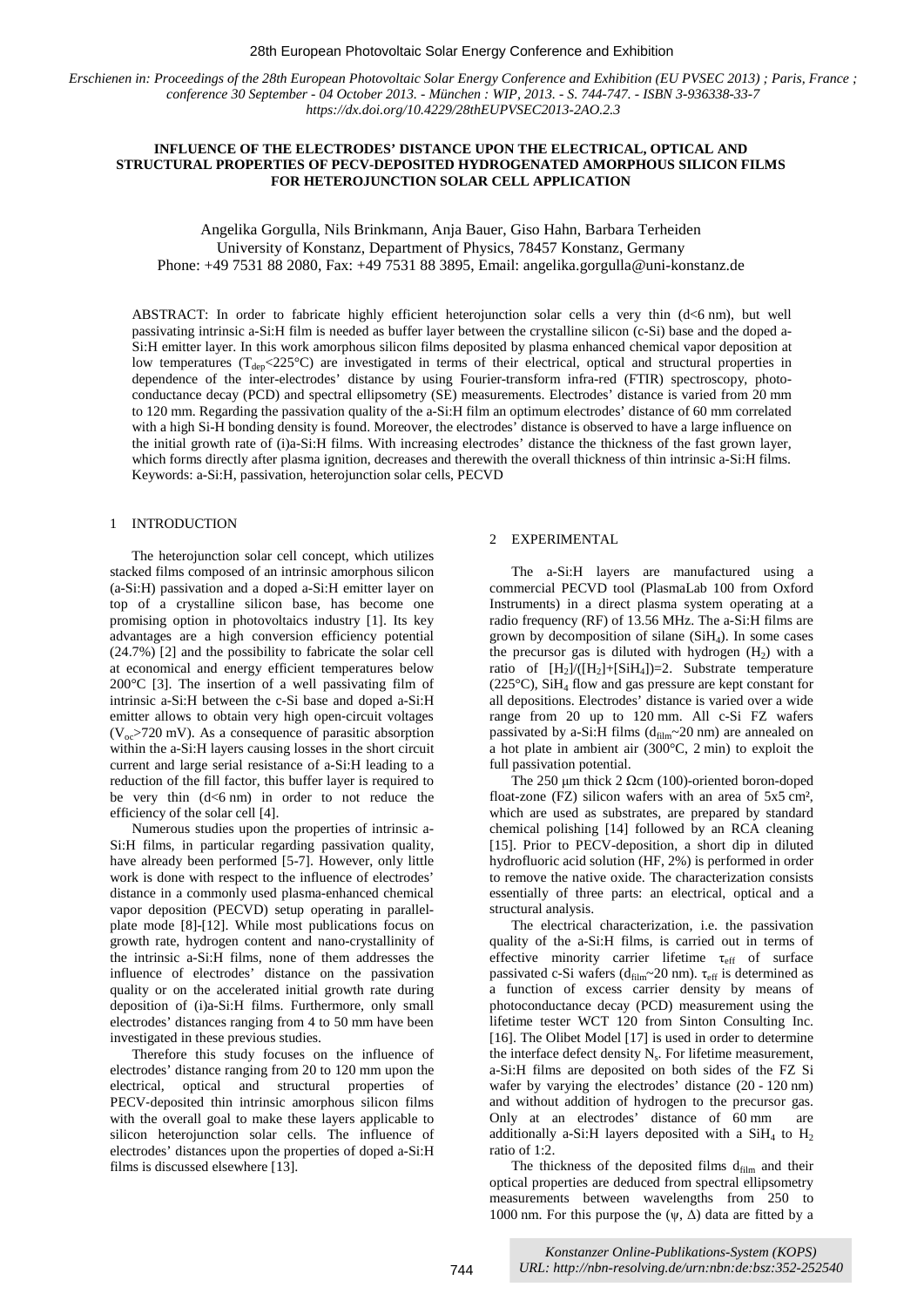#### 28th European Photovoltaic Solar Energy Conference and Exhibition

*Erschienen in: Proceedings of the 28th European Photovoltaic Solar Energy Conference and Exhibition (EU PVSEC 2013) ; Paris, France ; conference 30 September - 04 October 2013. - München : WIP, 2013. - S. 744-747. - ISBN 3-936338-33-7 https://dx.doi.org/10.4229/28thEUPVSEC2013-2AO.2.3*

# **INFLUENCE OF THE ELECTRODES' DISTANCE UPON THE ELECTRICAL, OPTICAL AND STRUCTURAL PROPERTIES OF PECV-DEPOSITED HYDROGENATED AMORPHOUS SILICON FILMS FOR HETEROJUNCTION SOLAR CELL APPLICATION**

Angelika Gorgulla, Nils Brinkmann, Anja Bauer, Giso Hahn, Barbara Terheiden University of Konstanz, Department of Physics, 78457 Konstanz, Germany Phone: +49 7531 88 2080, Fax: +49 7531 88 3895, Email: angelika.gorgulla@uni-konstanz.de

ABSTRACT: In order to fabricate highly efficient heterojunction solar cells a very thin (d<6 nm), but well passivating intrinsic a-Si:H film is needed as buffer layer between the crystalline silicon (c-Si) base and the doped a-Si:H emitter layer. In this work amorphous silicon films deposited by plasma enhanced chemical vapor deposition at low temperatures ( $T_{dep} < 225$ °C) are investigated in terms of their electrical, optical and structural properties in dependence of the inter-electrodes' distance by using Fourier-transform infra-red (FTIR) spectroscopy, photoconductance decay (PCD) and spectral ellipsometry (SE) measurements. Electrodes' distance is varied from 20 mm to 120 mm. Regarding the passivation quality of the a-Si:H film an optimum electrodes' distance of 60 mm correlated with a high Si-H bonding density is found. Moreover, the electrodes' distance is observed to have a large influence on the initial growth rate of (i)a-Si:H films. With increasing electrodes' distance the thickness of the fast grown layer, which forms directly after plasma ignition, decreases and therewith the overall thickness of thin intrinsic a-Si:H films. Keywords: a-Si:H, passivation, heterojunction solar cells, PECVD

# 1 INTRODUCTION

The heterojunction solar cell concept, which utilizes stacked films composed of an intrinsic amorphous silicon (a-Si:H) passivation and a doped a-Si:H emitter layer on top of a crystalline silicon base, has become one promising option in photovoltaics industry [1]. Its key advantages are a high conversion efficiency potential (24.7%) [2] and the possibility to fabricate the solar cell at economical and energy efficient temperatures below 200°C [3]. The insertion of a well passivating film of intrinsic a-Si:H between the c-Si base and doped a-Si:H emitter allows to obtain very high open‐circuit voltages  $(V_{oc}$ >720 mV). As a consequence of parasitic absorption within the a-Si:H layers causing losses in the short circuit current and large serial resistance of a-Si:H leading to a reduction of the fill factor, this buffer layer is required to be very thin  $(d<6$  nm) in order to not reduce the efficiency of the solar cell [4].

Numerous studies upon the properties of intrinsic a-Si:H films, in particular regarding passivation quality, have already been performed [5-7]. However, only little work is done with respect to the influence of electrodes' distance in a commonly used plasma-enhanced chemical vapor deposition (PECVD) setup operating in parallelplate mode [8]-[12]. While most publications focus on growth rate, hydrogen content and nano-crystallinity of the intrinsic a-Si:H films, none of them addresses the influence of electrodes' distance on the passivation quality or on the accelerated initial growth rate during deposition of (i)a-Si:H films. Furthermore, only small electrodes' distances ranging from 4 to 50 mm have been investigated in these previous studies.

Therefore this study focuses on the influence of electrodes' distance ranging from 20 to 120 mm upon the electrical, optical and structural properties of PECV‐deposited thin intrinsic amorphous silicon films with the overall goal to make these layers applicable to silicon heterojunction solar cells. The influence of electrodes' distances upon the properties of doped a-Si:H films is discussed elsewhere [13].

### 2 EXPERIMENTAL

The a-Si:H layers are manufactured using a commercial PECVD tool (PlasmaLab 100 from Oxford Instruments) in a direct plasma system operating at a radio frequency (RF) of 13.56 MHz. The a-Si:H films are grown by decomposition of silane (SiH4). In some cases the precursor gas is diluted with hydrogen  $(H<sub>2</sub>)$  with a ratio of  $[H_2]/([H_2]+[SiH_4])=2$ . Substrate temperature (225°C), SiH4 flow and gas pressure are kept constant for all depositions. Electrodes' distance is varied over a wide range from 20 up to 120 mm. All c-Si FZ wafers passivated by a-Si:H films ( $d_{film}$ ~20 nm) are annealed on a hot plate in ambient air (300°C, 2 min) to exploit the full passivation potential.

The 250 μm thick 2 Ωcm (100)-oriented boron-doped float-zone (FZ) silicon wafers with an area of 5x5 cm², which are used as substrates, are prepared by standard chemical polishing [14] followed by an RCA cleaning [15]. Prior to PECV-deposition, a short dip in diluted hydrofluoric acid solution (HF, 2%) is performed in order to remove the native oxide. The characterization consists essentially of three parts: an electrical, optical and a structural analysis.

The electrical characterization, i.e. the passivation quality of the a-Si:H films, is carried out in terms of effective minority carrier lifetime  $\tau_{\text{eff}}$  of surface passivated c-Si wafers ( $d_{film}$ ~20 nm).  $\tau_{eff}$  is determined as a function of excess carrier density by means of photoconductance decay (PCD) measurement using the lifetime tester WCT 120 from Sinton Consulting Inc. [16]. The Olibet Model [17] is used in order to determine the interface defect density  $N_s$ . For lifetime measurement, a-Si:H films are deposited on both sides of the FZ Si wafer by varying the electrodes' distance (20 - 120 nm) and without addition of hydrogen to the precursor gas. Only at an electrodes' distance of 60 mm are additionally a-Si:H layers deposited with a  $SiH_4$  to  $H_2$ ratio of 1:2.

The thickness of the deposited films  $d_{film}$  and their optical properties are deduced from spectral ellipsometry measurements between wavelengths from 250 to 1000 nm. For this purpose the  $(\psi, \Delta)$  data are fitted by a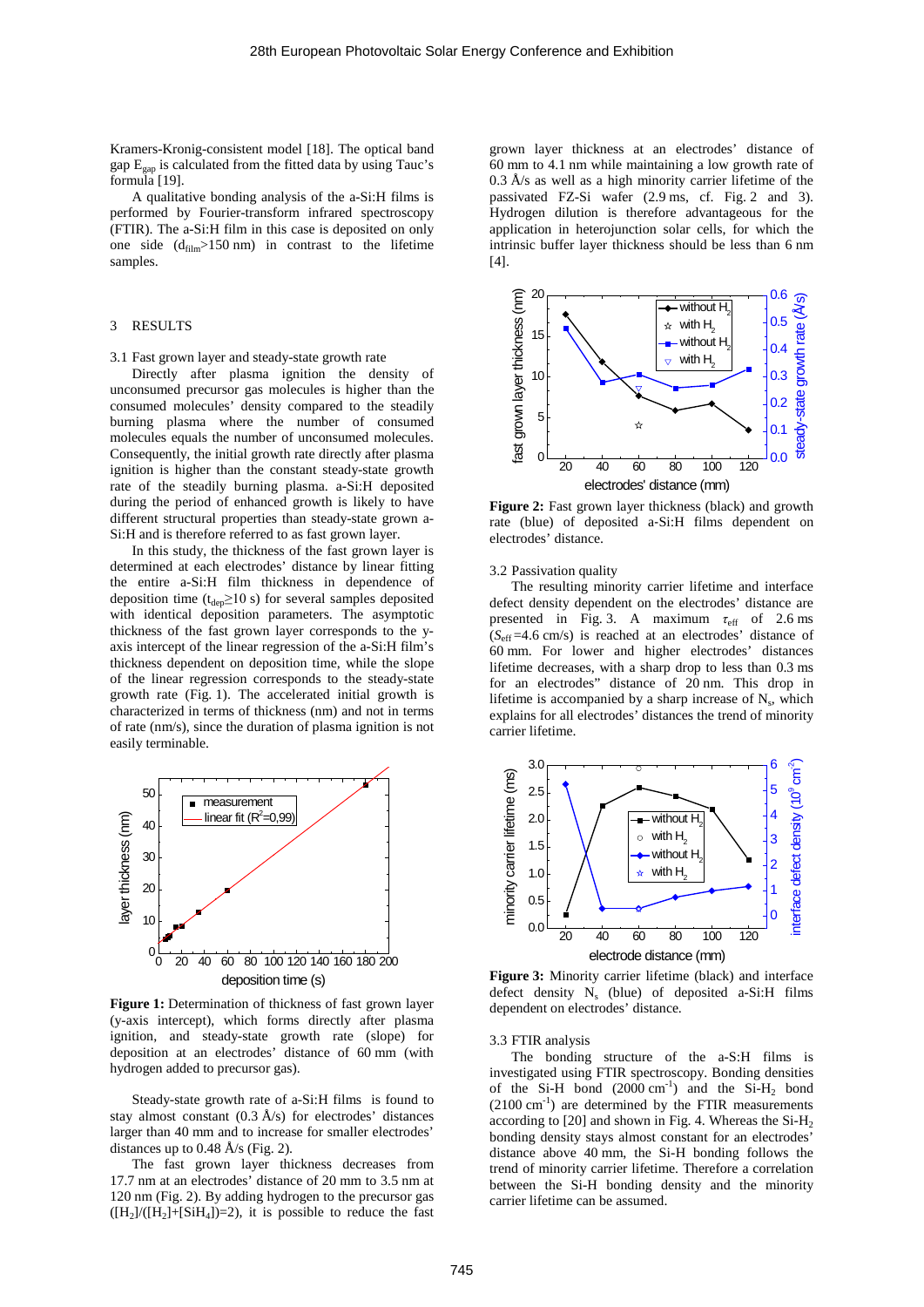Kramers-Kronig-consistent model [18]. The optical band gap  $E_{gap}$  is calculated from the fitted data by using Tauc's formula [19].

A qualitative bonding analysis of the a-Si:H films is performed by Fourier-transform infrared spectroscopy (FTIR). The a-Si:H film in this case is deposited on only one side  $(d_{film} > 150 \text{ nm})$  in contrast to the lifetime samples.

### 3 RESULTS

#### 3.1 Fast grown layer and steady-state growth rate

Directly after plasma ignition the density of unconsumed precursor gas molecules is higher than the consumed molecules' density compared to the steadily burning plasma where the number of consumed molecules equals the number of unconsumed molecules. Consequently, the initial growth rate directly after plasma ignition is higher than the constant steady-state growth rate of the steadily burning plasma. a-Si:H deposited during the period of enhanced growth is likely to have different structural properties than steady-state grown a-Si:H and is therefore referred to as fast grown layer.

In this study, the thickness of the fast grown layer is determined at each electrodes' distance by linear fitting the entire a-Si:H film thickness in dependence of deposition time ( $t_{dep} \ge 10$  s) for several samples deposited with identical deposition parameters. The asymptotic thickness of the fast grown layer corresponds to the yaxis intercept of the linear regression of the a-Si:H film's thickness dependent on deposition time, while the slope of the linear regression corresponds to the steady-state growth rate (Fig. 1). The accelerated initial growth is characterized in terms of thickness (nm) and not in terms of rate (nm/s), since the duration of plasma ignition is not easily terminable.



**Figure 1:** Determination of thickness of fast grown layer (y-axis intercept), which forms directly after plasma ignition, and steady-state growth rate (slope) for deposition at an electrodes' distance of 60 mm (with hydrogen added to precursor gas).

Steady-state growth rate of a-Si:H films is found to stay almost constant  $(0.3 \text{ Å/s})$  for electrodes' distances larger than 40 mm and to increase for smaller electrodes' distances up to 0.48 Å/s (Fig. 2).

The fast grown layer thickness decreases from 17.7 nm at an electrodes' distance of 20 mm to 3.5 nm at 120 nm (Fig. 2). By adding hydrogen to the precursor gas  $([H<sub>2</sub>] / ([H<sub>2</sub>] + [SiH<sub>4</sub>]) = 2),$  it is possible to reduce the fast

grown layer thickness at an electrodes' distance of 60 mm to 4.1 nm while maintaining a low growth rate of  $0.3 \text{ Å/s}$  as well as a high minority carrier lifetime of the passivated FZ-Si wafer (2.9 ms, cf. Fig. 2 and 3). Hydrogen dilution is therefore advantageous for the application in heterojunction solar cells, for which the intrinsic buffer layer thickness should be less than 6 nm [4].



**Figure 2:** Fast grown layer thickness (black) and growth rate (blue) of deposited a‐Si:H films dependent on electrodes' distance.

3.2 Passivation quality

The resulting minority carrier lifetime and interface defect density dependent on the electrodes' distance are presented in Fig. 3. A maximum  $\tau_{\text{eff}}$  of 2.6 ms (*S*eff =4.6 cm/s) is reached at an electrodes' distance of 60 mm. For lower and higher electrodes' distances lifetime decreases, with a sharp drop to less than 0.3 ms for an electrodes" distance of 20 nm. This drop in lifetime is accompanied by a sharp increase of  $N_s$ , which explains for all electrodes' distances the trend of minority carrier lifetime.



**Figure 3:** Minority carrier lifetime (black) and interface defect density  $N_s$  (blue) of deposited a-Si:H films dependent on electrodes' distance.

3.3 FTIR analysis

The bonding structure of the a-S:H films is investigated using FTIR spectroscopy. Bonding densities of the Si-H bond  $(2000 \text{ cm}^{-1})$  and the Si-H<sub>2</sub> bond  $(2100 \text{ cm}^{-1})$  are determined by the FTIR measurements according to  $[20]$  and shown in Fig. 4. Whereas the Si-H<sub>2</sub> bonding density stays almost constant for an electrodes' distance above 40 mm, the Si-H bonding follows the trend of minority carrier lifetime. Therefore a correlation between the Si-H bonding density and the minority carrier lifetime can be assumed.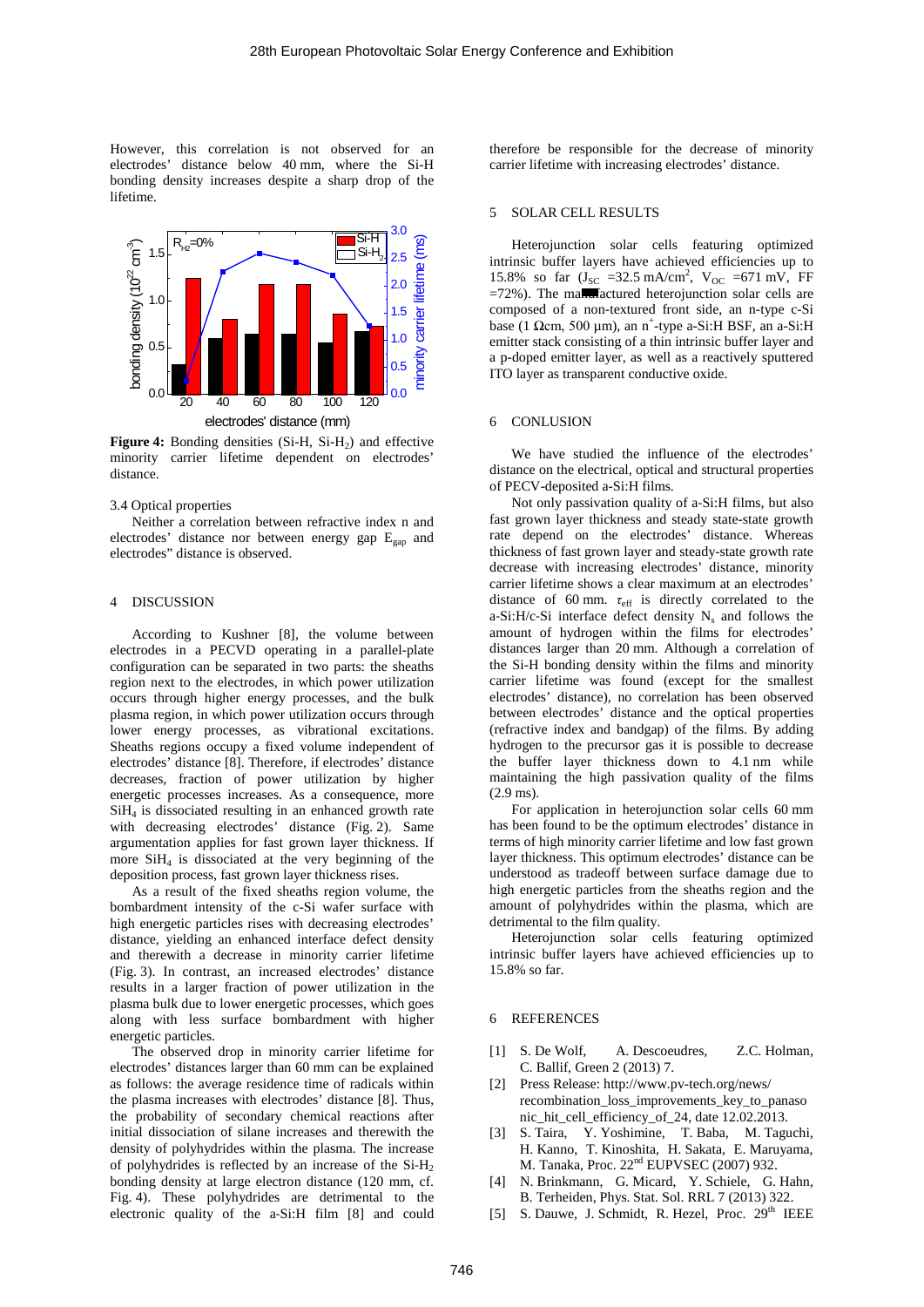However, this correlation is not observed for an electrodes' distance below 40 mm, where the Si-H bonding density increases despite a sharp drop of the lifetime.



**Figure 4:** Bonding densities (Si-H, Si-H<sub>2</sub>) and effective minority carrier lifetime dependent on electrodes' distance.

#### 3.4 Optical properties

Neither a correlation between refractive index n and electrodes' distance nor between energy gap Egap and electrodes" distance is observed.

## 4 DISCUSSION

According to Kushner [8], the volume between electrodes in a PECVD operating in a parallel-plate configuration can be separated in two parts: the sheaths region next to the electrodes, in which power utilization occurs through higher energy processes, and the bulk plasma region, in which power utilization occurs through lower energy processes, as vibrational excitations. Sheaths regions occupy a fixed volume independent of electrodes' distance [8]. Therefore, if electrodes' distance decreases, fraction of power utilization by higher energetic processes increases. As a consequence, more SiH4 is dissociated resulting in an enhanced growth rate with decreasing electrodes' distance (Fig. 2). Same argumentation applies for fast grown layer thickness. If more  $SiH<sub>4</sub>$  is dissociated at the very beginning of the deposition process, fast grown layer thickness rises.

As a result of the fixed sheaths region volume, the bombardment intensity of the c-Si wafer surface with high energetic particles rises with decreasing electrodes' distance, yielding an enhanced interface defect density and therewith a decrease in minority carrier lifetime (Fig. 3). In contrast, an increased electrodes' distance results in a larger fraction of power utilization in the plasma bulk due to lower energetic processes, which goes along with less surface bombardment with higher energetic particles.

The observed drop in minority carrier lifetime for electrodes' distances larger than 60 mm can be explained as follows: the average residence time of radicals within the plasma increases with electrodes' distance [8]. Thus, the probability of secondary chemical reactions after initial dissociation of silane increases and therewith the density of polyhydrides within the plasma. The increase of polyhydrides is reflected by an increase of the  $Si-H<sub>2</sub>$ bonding density at large electron distance (120 mm, cf. Fig. 4). These polyhydrides are detrimental to the electronic quality of the a‐Si:H film [8] and could

therefore be responsible for the decrease of minority carrier lifetime with increasing electrodes' distance.

## 5 SOLAR CELL RESULTS

Heterojunction solar cells featuring optimized intrinsic buffer layers have achieved efficiencies up to 15.8% so far  $(J_{SC} = 32.5 \text{ mA/cm}^2$ ,  $V_{OC} = 671 \text{ mV}$ , FF  $=72%$ ). The ma $\overline{m}$  actured heterojunction solar cells are composed of a non-textured front side, an n-type c-Si base (1  $\Omega$ cm, 500 µm), an n<sup>+</sup>-type a-Si:H BSF, an a-Si:H emitter stack consisting of a thin intrinsic buffer layer and a p-doped emitter layer, as well as a reactively sputtered ITO layer as transparent conductive oxide.

## 6 CONLUSION

We have studied the influence of the electrodes' distance on the electrical, optical and structural properties of PECV-deposited a-Si:H films.

Not only passivation quality of a‐Si:H films, but also fast grown layer thickness and steady state-state growth rate depend on the electrodes' distance. Whereas thickness of fast grown layer and steady-state growth rate decrease with increasing electrodes' distance, minority carrier lifetime shows a clear maximum at an electrodes' distance of 60 mm.  $\tau_{\text{eff}}$  is directly correlated to the a-Si:H/c-Si interface defect density  $N_s$  and follows the amount of hydrogen within the films for electrodes' distances larger than 20 mm. Although a correlation of the Si-H bonding density within the films and minority carrier lifetime was found (except for the smallest electrodes' distance), no correlation has been observed between electrodes' distance and the optical properties (refractive index and bandgap) of the films. By adding hydrogen to the precursor gas it is possible to decrease the buffer layer thickness down to 4.1 nm while maintaining the high passivation quality of the films (2.9 ms).

For application in heterojunction solar cells 60 mm has been found to be the optimum electrodes' distance in terms of high minority carrier lifetime and low fast grown layer thickness. This optimum electrodes' distance can be understood as tradeoff between surface damage due to high energetic particles from the sheaths region and the amount of polyhydrides within the plasma, which are detrimental to the film quality.

Heterojunction solar cells featuring optimized intrinsic buffer layers have achieved efficiencies up to 15.8% so far.

#### 6 REFERENCES

- [1] S. De Wolf, A. Descoeudres, Z.C. Holman, C. Ballif, Green 2 (2013) 7.
- [2] Press Release: http://www.pv-tech.org/news/ recombination\_loss\_improvements\_key\_to\_panaso nic\_hit\_cell\_efficiency\_of\_24, date 12.02.2013.
- [3] S. Taira, Y. Yoshimine, T. Baba, M. Taguchi, H. Kanno, T. Kinoshita, H. Sakata, E. Maruyama, M. Tanaka, Proc. 22nd EUPVSEC (2007) 932.
- [4] N. Brinkmann, G. Micard, Y. Schiele, G. Hahn, B. Terheiden, Phys. Stat. Sol. RRL 7 (2013) 322.
- [5] S. Dauwe, J. Schmidt, R. Hezel, Proc. 29<sup>th</sup> IEEE